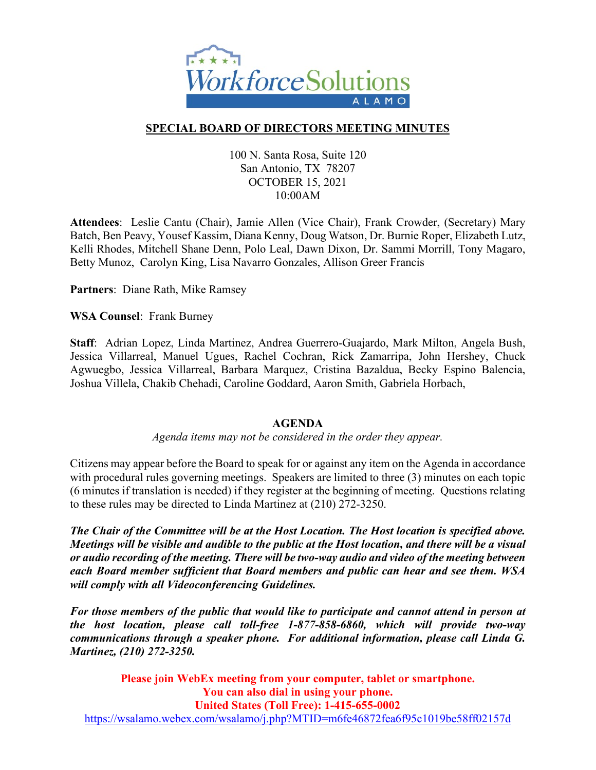

# **SPECIAL BOARD OF DIRECTORS MEETING MINUTES**

#### 100 N. Santa Rosa, Suite 120 San Antonio, TX 78207 OCTOBER 15, 2021 10:00AM

**Attendees**: Leslie Cantu (Chair), Jamie Allen (Vice Chair), Frank Crowder, (Secretary) Mary Batch, Ben Peavy, Yousef Kassim, Diana Kenny, Doug Watson, Dr. Burnie Roper, Elizabeth Lutz, Kelli Rhodes, Mitchell Shane Denn, Polo Leal, Dawn Dixon, Dr. Sammi Morrill, Tony Magaro, Betty Munoz, Carolyn King, Lisa Navarro Gonzales, Allison Greer Francis

**Partners**: Diane Rath, Mike Ramsey

**WSA Counsel**: Frank Burney

**Staff**: Adrian Lopez, Linda Martinez, Andrea Guerrero-Guajardo, Mark Milton, Angela Bush, Jessica Villarreal, Manuel Ugues, Rachel Cochran, Rick Zamarripa, John Hershey, Chuck Agwuegbo, Jessica Villarreal, Barbara Marquez, Cristina Bazaldua, Becky Espino Balencia, Joshua Villela, Chakib Chehadi, Caroline Goddard, Aaron Smith, Gabriela Horbach,

#### **AGENDA**

*Agenda items may not be considered in the order they appear.*

Citizens may appear before the Board to speak for or against any item on the Agenda in accordance with procedural rules governing meetings. Speakers are limited to three (3) minutes on each topic (6 minutes if translation is needed) if they register at the beginning of meeting. Questions relating to these rules may be directed to Linda Martinez at (210) 272-3250.

*The Chair of the Committee will be at the Host Location. The Host location is specified above. Meetings will be visible and audible to the public at the Host location, and there will be a visual or audio recording of the meeting. There will be two-way audio and video of the meeting between each Board member sufficient that Board members and public can hear and see them. WSA will comply with all Videoconferencing Guidelines.* 

*For those members of the public that would like to participate and cannot attend in person at the host location, please call toll-free 1-877-858-6860, which will provide two-way communications through a speaker phone. For additional information, please call Linda G. Martinez, (210) 272-3250.*

**Please join WebEx meeting from your computer, tablet or smartphone. You can also dial in using your phone. United States (Toll Free): 1-415-655-0002** <https://wsalamo.webex.com/wsalamo/j.php?MTID=m6fe46872fea6f95c1019be58ff02157d>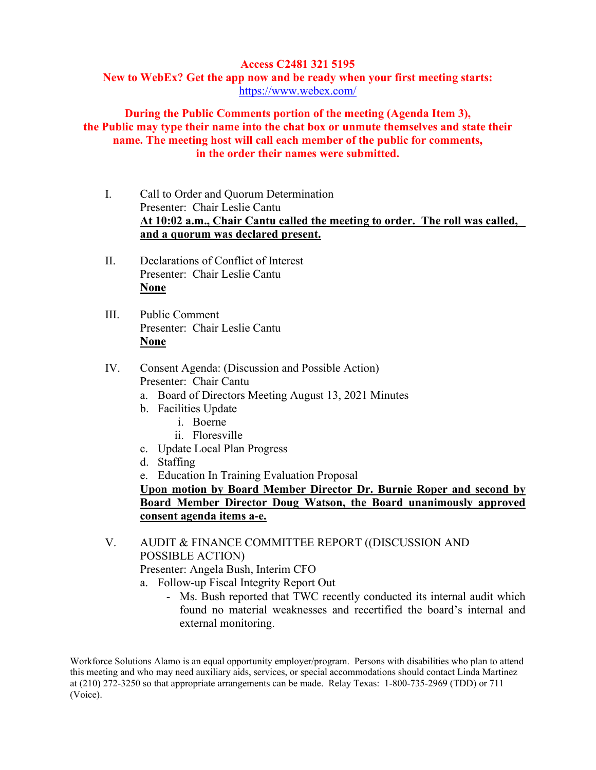## **Access C2481 321 5195**

**New to WebEx? Get the app now and be ready when your first meeting starts:**  <https://www.webex.com/>

## **During the Public Comments portion of the meeting (Agenda Item 3), the Public may type their name into the chat box or unmute themselves and state their name. The meeting host will call each member of the public for comments, in the order their names were submitted.**

- I. Call to Order and Quorum Determination Presenter: Chair Leslie Cantu **At 10:02 a.m., Chair Cantu called the meeting to order. The roll was called, and a quorum was declared present.**
- II. Declarations of Conflict of Interest Presenter: Chair Leslie Cantu **None**
- III. Public Comment Presenter: Chair Leslie Cantu **None**
- IV. Consent Agenda: (Discussion and Possible Action) Presenter: Chair Cantu
	- a. Board of Directors Meeting August 13, 2021 Minutes
	- b. Facilities Update
		- i. Boerne
		- ii. Floresville
	- c. Update Local Plan Progress
	- d. Staffing
	- e. Education In Training Evaluation Proposal

**Upon motion by Board Member Director Dr. Burnie Roper and second by Board Member Director Doug Watson, the Board unanimously approved consent agenda items a-e.**

V. AUDIT & FINANCE COMMITTEE REPORT ((DISCUSSION AND POSSIBLE ACTION)

Presenter: Angela Bush, Interim CFO

- a. Follow-up Fiscal Integrity Report Out
	- Ms. Bush reported that TWC recently conducted its internal audit which found no material weaknesses and recertified the board's internal and external monitoring.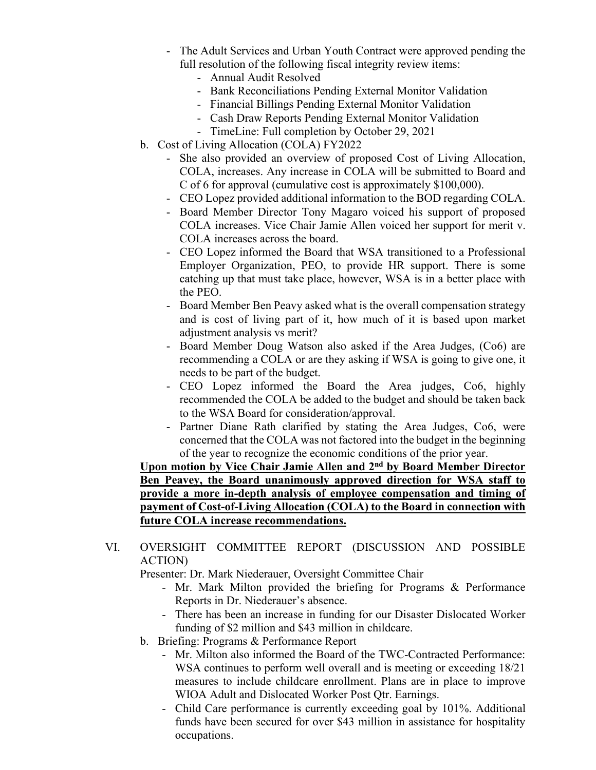- The Adult Services and Urban Youth Contract were approved pending the full resolution of the following fiscal integrity review items:
	- Annual Audit Resolved
	- Bank Reconciliations Pending External Monitor Validation
	- Financial Billings Pending External Monitor Validation
	- Cash Draw Reports Pending External Monitor Validation
	- TimeLine: Full completion by October 29, 2021
- b. Cost of Living Allocation (COLA) FY2022
	- She also provided an overview of proposed Cost of Living Allocation, COLA, increases. Any increase in COLA will be submitted to Board and C of 6 for approval (cumulative cost is approximately \$100,000).
	- CEO Lopez provided additional information to the BOD regarding COLA.
	- Board Member Director Tony Magaro voiced his support of proposed COLA increases. Vice Chair Jamie Allen voiced her support for merit v. COLA increases across the board.
	- CEO Lopez informed the Board that WSA transitioned to a Professional Employer Organization, PEO, to provide HR support. There is some catching up that must take place, however, WSA is in a better place with the PEO.
	- Board Member Ben Peavy asked what is the overall compensation strategy and is cost of living part of it, how much of it is based upon market adjustment analysis vs merit?
	- Board Member Doug Watson also asked if the Area Judges, (Co6) are recommending a COLA or are they asking if WSA is going to give one, it needs to be part of the budget.
	- CEO Lopez informed the Board the Area judges, Co6, highly recommended the COLA be added to the budget and should be taken back to the WSA Board for consideration/approval.
	- Partner Diane Rath clarified by stating the Area Judges, Co6, were concerned that the COLA was not factored into the budget in the beginning of the year to recognize the economic conditions of the prior year.

**Upon motion by Vice Chair Jamie Allen and 2nd by Board Member Director Ben Peavey, the Board unanimously approved direction for WSA staff to provide a more in-depth analysis of employee compensation and timing of payment of Cost-of-Living Allocation (COLA) to the Board in connection with future COLA increase recommendations.** 

VI. OVERSIGHT COMMITTEE REPORT (DISCUSSION AND POSSIBLE ACTION)

Presenter: Dr. Mark Niederauer, Oversight Committee Chair

- Mr. Mark Milton provided the briefing for Programs & Performance Reports in Dr. Niederauer's absence.
- There has been an increase in funding for our Disaster Dislocated Worker funding of \$2 million and \$43 million in childcare.
- b. Briefing: Programs & Performance Report
	- Mr. Milton also informed the Board of the TWC-Contracted Performance: WSA continues to perform well overall and is meeting or exceeding 18/21 measures to include childcare enrollment. Plans are in place to improve WIOA Adult and Dislocated Worker Post Qtr. Earnings.
	- Child Care performance is currently exceeding goal by 101%. Additional funds have been secured for over \$43 million in assistance for hospitality occupations.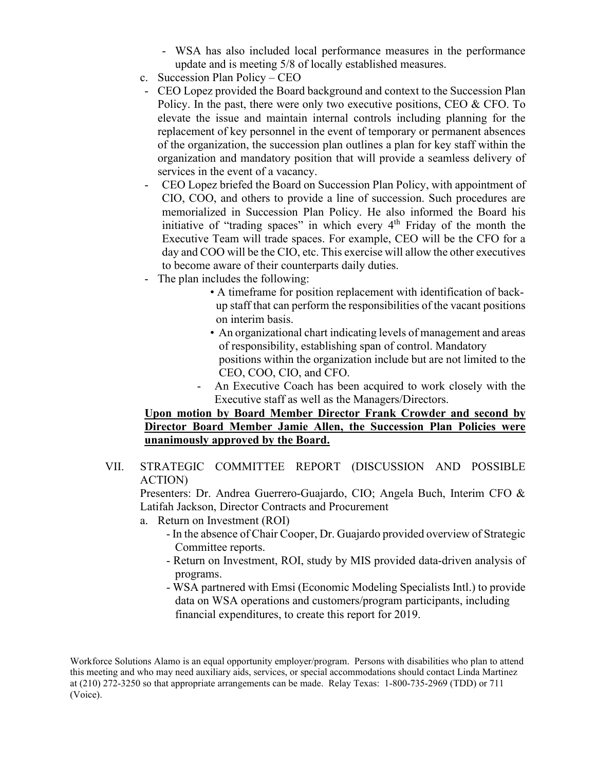- WSA has also included local performance measures in the performance update and is meeting 5/8 of locally established measures.
- c. Succession Plan Policy CEO
- CEO Lopez provided the Board background and context to the Succession Plan Policy. In the past, there were only two executive positions, CEO  $\&$  CFO. To elevate the issue and maintain internal controls including planning for the replacement of key personnel in the event of temporary or permanent absences of the organization, the succession plan outlines a plan for key staff within the organization and mandatory position that will provide a seamless delivery of services in the event of a vacancy.
- CEO Lopez briefed the Board on Succession Plan Policy, with appointment of CIO, COO, and others to provide a line of succession. Such procedures are memorialized in Succession Plan Policy. He also informed the Board his initiative of "trading spaces" in which every 4th Friday of the month the Executive Team will trade spaces. For example, CEO will be the CFO for a day and COO will be the CIO, etc. This exercise will allow the other executives to become aware of their counterparts daily duties.
- The plan includes the following:
	- A timeframe for position replacement with identification of backup staff that can perform the responsibilities of the vacant positions on interim basis.
	- An organizational chart indicating levels of management and areas of responsibility, establishing span of control. Mandatory positions within the organization include but are not limited to the CEO, COO, CIO, and CFO.
	- An Executive Coach has been acquired to work closely with the Executive staff as well as the Managers/Directors.

## **Upon motion by Board Member Director Frank Crowder and second by Director Board Member Jamie Allen, the Succession Plan Policies were unanimously approved by the Board.**

VII. STRATEGIC COMMITTEE REPORT (DISCUSSION AND POSSIBLE ACTION)

Presenters: Dr. Andrea Guerrero-Guajardo, CIO; Angela Buch, Interim CFO & Latifah Jackson, Director Contracts and Procurement

- a. Return on Investment (ROI)
	- In the absence of Chair Cooper, Dr. Guajardo provided overview of Strategic Committee reports.
	- Return on Investment, ROI, study by MIS provided data-driven analysis of programs.
	- WSA partnered with Emsi (Economic Modeling Specialists Intl.) to provide data on WSA operations and customers/program participants, including financial expenditures, to create this report for 2019.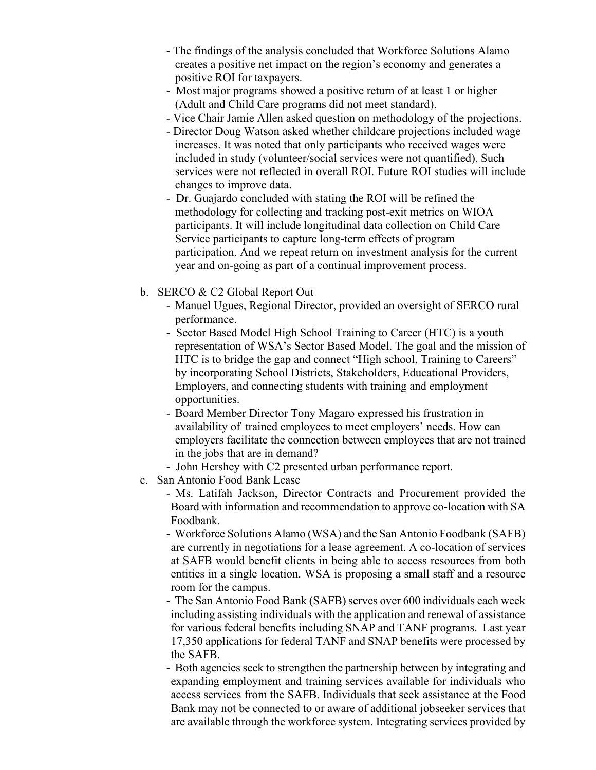- The findings of the analysis concluded that Workforce Solutions Alamo creates a positive net impact on the region's economy and generates a positive ROI for taxpayers.
- Most major programs showed a positive return of at least 1 or higher (Adult and Child Care programs did not meet standard).
- Vice Chair Jamie Allen asked question on methodology of the projections.
- Director Doug Watson asked whether childcare projections included wage increases. It was noted that only participants who received wages were included in study (volunteer/social services were not quantified). Such services were not reflected in overall ROI. Future ROI studies will include changes to improve data.
- Dr. Guajardo concluded with stating the ROI will be refined the methodology for collecting and tracking post-exit metrics on WIOA participants. It will include longitudinal data collection on Child Care Service participants to capture long-term effects of program participation. And we repeat return on investment analysis for the current year and on-going as part of a continual improvement process.
- b. SERCO & C2 Global Report Out
	- Manuel Ugues, Regional Director, provided an oversight of SERCO rural performance.
	- Sector Based Model High School Training to Career (HTC) is a youth representation of WSA's Sector Based Model. The goal and the mission of HTC is to bridge the gap and connect "High school, Training to Careers" by incorporating School Districts, Stakeholders, Educational Providers, Employers, and connecting students with training and employment opportunities.
	- Board Member Director Tony Magaro expressed his frustration in availability of trained employees to meet employers' needs. How can employers facilitate the connection between employees that are not trained in the jobs that are in demand?
	- John Hershey with C2 presented urban performance report.
- c. San Antonio Food Bank Lease
	- Ms. Latifah Jackson, Director Contracts and Procurement provided the Board with information and recommendation to approve co-location with SA Foodbank.

- Workforce Solutions Alamo (WSA) and the San Antonio Foodbank (SAFB) are currently in negotiations for a lease agreement. A co-location of services at SAFB would benefit clients in being able to access resources from both entities in a single location. WSA is proposing a small staff and a resource room for the campus.

- The San Antonio Food Bank (SAFB) serves over 600 individuals each week including assisting individuals with the application and renewal of assistance for various federal benefits including SNAP and TANF programs. Last year 17,350 applications for federal TANF and SNAP benefits were processed by the SAFB.

- Both agencies seek to strengthen the partnership between by integrating and expanding employment and training services available for individuals who access services from the SAFB. Individuals that seek assistance at the Food Bank may not be connected to or aware of additional jobseeker services that are available through the workforce system. Integrating services provided by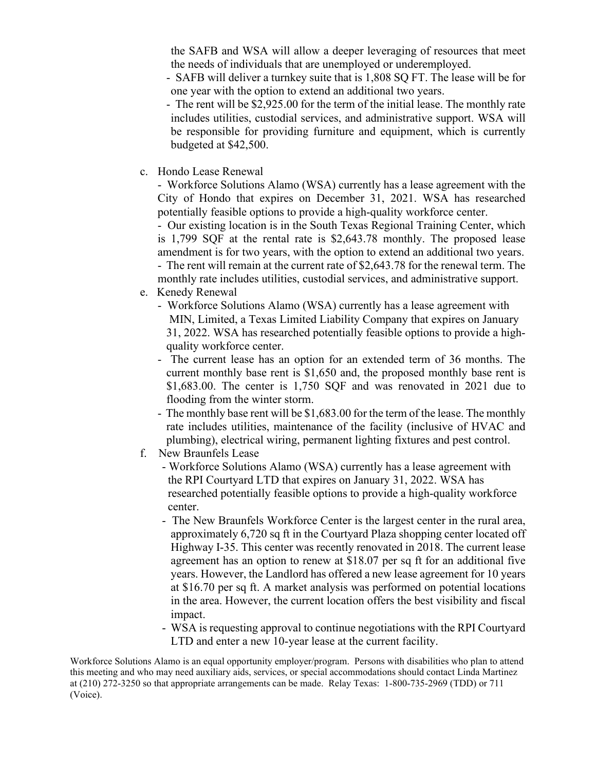the SAFB and WSA will allow a deeper leveraging of resources that meet the needs of individuals that are unemployed or underemployed.

- SAFB will deliver a turnkey suite that is 1,808 SQ FT. The lease will be for one year with the option to extend an additional two years.
- The rent will be \$2,925.00 for the term of the initial lease. The monthly rate includes utilities, custodial services, and administrative support. WSA will be responsible for providing furniture and equipment, which is currently budgeted at \$42,500.
- c. Hondo Lease Renewal

- Workforce Solutions Alamo (WSA) currently has a lease agreement with the City of Hondo that expires on December 31, 2021. WSA has researched potentially feasible options to provide a high-quality workforce center.

- Our existing location is in the South Texas Regional Training Center, which is 1,799 SQF at the rental rate is \$2,643.78 monthly. The proposed lease amendment is for two years, with the option to extend an additional two years.

- The rent will remain at the current rate of \$2,643.78 for the renewal term. The monthly rate includes utilities, custodial services, and administrative support.

- e. Kenedy Renewal
	- Workforce Solutions Alamo (WSA) currently has a lease agreement with MIN, Limited, a Texas Limited Liability Company that expires on January 31, 2022. WSA has researched potentially feasible options to provide a high quality workforce center.
	- The current lease has an option for an extended term of 36 months. The current monthly base rent is \$1,650 and, the proposed monthly base rent is \$1,683.00. The center is 1,750 SQF and was renovated in 2021 due to flooding from the winter storm.
	- The monthly base rent will be \$1,683.00 for the term of the lease. The monthly rate includes utilities, maintenance of the facility (inclusive of HVAC and plumbing), electrical wiring, permanent lighting fixtures and pest control.
- f. New Braunfels Lease
	- Workforce Solutions Alamo (WSA) currently has a lease agreement with the RPI Courtyard LTD that expires on January 31, 2022. WSA has researched potentially feasible options to provide a high-quality workforce center.
	- The New Braunfels Workforce Center is the largest center in the rural area, approximately 6,720 sq ft in the Courtyard Plaza shopping center located off Highway I-35. This center was recently renovated in 2018. The current lease agreement has an option to renew at \$18.07 per sq ft for an additional five years. However, the Landlord has offered a new lease agreement for 10 years at \$16.70 per sq ft. A market analysis was performed on potential locations in the area. However, the current location offers the best visibility and fiscal impact.
	- WSA is requesting approval to continue negotiations with the RPI Courtyard LTD and enter a new 10-year lease at the current facility.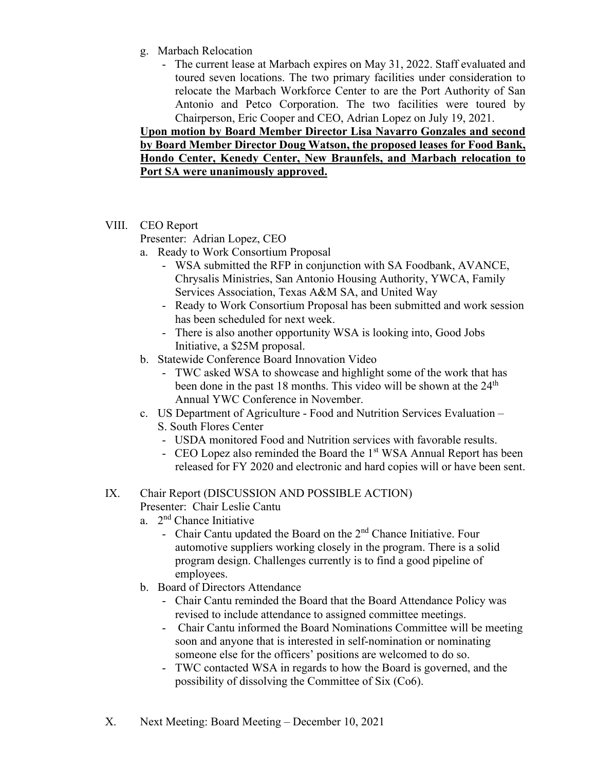- g. Marbach Relocation
	- The current lease at Marbach expires on May 31, 2022. Staff evaluated and toured seven locations. The two primary facilities under consideration to relocate the Marbach Workforce Center to are the Port Authority of San Antonio and Petco Corporation. The two facilities were toured by Chairperson, Eric Cooper and CEO, Adrian Lopez on July 19, 2021.

**Upon motion by Board Member Director Lisa Navarro Gonzales and second by Board Member Director Doug Watson, the proposed leases for Food Bank, Hondo Center, Kenedy Center, New Braunfels, and Marbach relocation to Port SA were unanimously approved.**

VIII. CEO Report

Presenter: Adrian Lopez, CEO

- a. Ready to Work Consortium Proposal
	- WSA submitted the RFP in conjunction with SA Foodbank, AVANCE, Chrysalis Ministries, San Antonio Housing Authority, YWCA, Family Services Association, Texas A&M SA, and United Way
	- Ready to Work Consortium Proposal has been submitted and work session has been scheduled for next week.
	- There is also another opportunity WSA is looking into, Good Jobs Initiative, a \$25M proposal.
- b. Statewide Conference Board Innovation Video
	- TWC asked WSA to showcase and highlight some of the work that has been done in the past 18 months. This video will be shown at the  $24<sup>th</sup>$ Annual YWC Conference in November.
- c. US Department of Agriculture Food and Nutrition Services Evaluation S. South Flores Center
	- USDA monitored Food and Nutrition services with favorable results.
	- CEO Lopez also reminded the Board the 1<sup>st</sup> WSA Annual Report has been released for FY 2020 and electronic and hard copies will or have been sent.

#### IX. Chair Report (DISCUSSION AND POSSIBLE ACTION) Presenter: Chair Leslie Cantu

- a. 2nd Chance Initiative
	- Chair Cantu updated the Board on the  $2<sup>nd</sup>$  Chance Initiative. Four automotive suppliers working closely in the program. There is a solid program design. Challenges currently is to find a good pipeline of employees.
- b. Board of Directors Attendance
	- Chair Cantu reminded the Board that the Board Attendance Policy was revised to include attendance to assigned committee meetings.
	- Chair Cantu informed the Board Nominations Committee will be meeting soon and anyone that is interested in self-nomination or nominating someone else for the officers' positions are welcomed to do so.
	- TWC contacted WSA in regards to how the Board is governed, and the possibility of dissolving the Committee of Six (Co6).